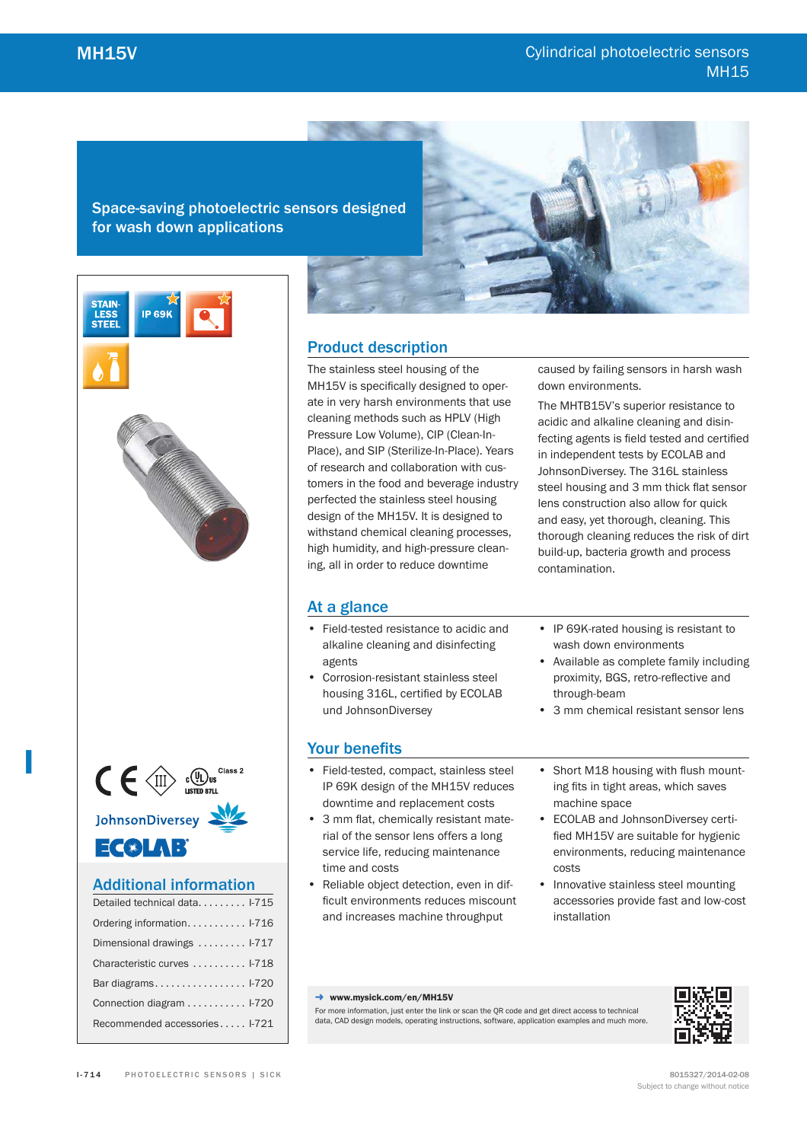Space-saving photoelectric sensors designed for wash down applications







JohnsonDiversey

**I**

ECXLAB

# Additional information

| Detailed technical data I-715 |
|-------------------------------|
| Ordering information 1-716    |
| Dimensional drawings  I-717   |
| Characteristic curves  I-718  |
| Bar diagrams $1-720$          |
| Connection diagram  1-720     |
| Recommended accessories I-721 |

# Product description

The stainless steel housing of the MH15V is specifically designed to operate in very harsh environments that use cleaning methods such as HPLV (High Pressure Low Volume), CIP (Clean-In-Place), and SIP (Sterilize-In-Place). Years of research and collaboration with customers in the food and beverage industry perfected the stainless steel housing design of the MH15V. It is designed to withstand chemical cleaning processes, high humidity, and high-pressure cleaning, all in order to reduce downtime

caused by failing sensors in harsh wash down environments.

The MHTB15V's superior resistance to acidic and alkaline cleaning and disinfecting agents is field tested and certified in independent tests by ECOLAB and JohnsonDiversey. The 316L stainless steel housing and 3 mm thick flat sensor lens construction also allow for quick and easy, yet thorough, cleaning. This thorough cleaning reduces the risk of dirt build-up, bacteria growth and process contamination.

# At a glance

- Field-tested resistance to acidic and alkaline cleaning and disinfecting agents
- Corrosion-resistant stainless steel housing 316L, certified by ECOLAB und JohnsonDiversey

# Your benefits

- Field-tested, compact, stainless steel IP 69K design of the MH15V reduces downtime and replacement costs
- 3 mm flat, chemically resistant material of the sensor lens offers a long service life, reducing maintenance time and costs
- Reliable object detection, even in difficult environments reduces miscount and increases machine throughput
- IP 69K-rated housing is resistant to wash down environments
- Available as complete family including proximity, BGS, retro-reflective and through-beam
- 3 mm chemical resistant sensor lens
- Short M18 housing with flush mounting fits in tight areas, which saves machine space
- ECOLAB and JohnsonDiversey certified MH15V are suitable for hygienic environments, reducing maintenance costs
- Innovative stainless steel mounting accessories provide fast and low-cost installation

#### → www.mysick.com/en/MH15V

For more information, just enter the link or scan the QR code and get direct access to technical data, CAD design models, operating instructions, software, application examples and much more.

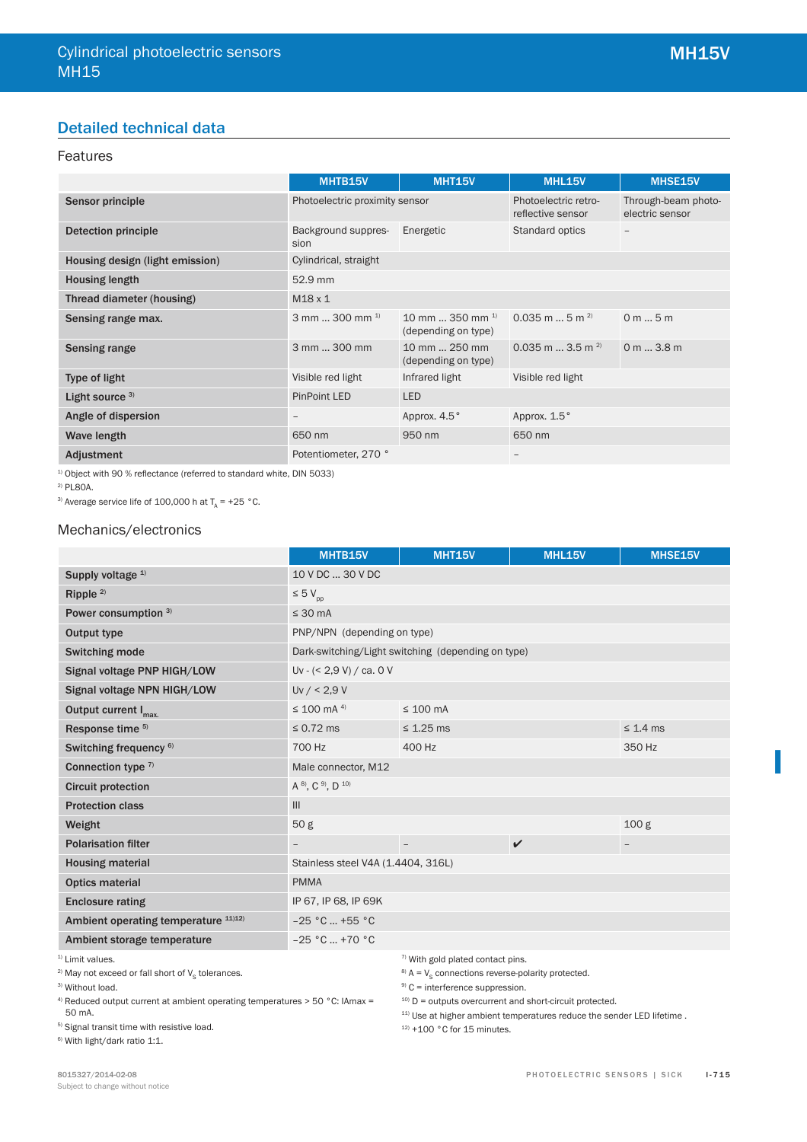# Detailed technical data

# Features

|                                 | MHTB15V                        | <b>MHT15V</b>                               | <b>MHL15V</b>                             | MHSE15V                                |
|---------------------------------|--------------------------------|---------------------------------------------|-------------------------------------------|----------------------------------------|
| Sensor principle                | Photoelectric proximity sensor |                                             | Photoelectric retro-<br>reflective sensor | Through-beam photo-<br>electric sensor |
| <b>Detection principle</b>      | Background suppres-<br>sion    | Energetic                                   | Standard optics                           | -                                      |
| Housing design (light emission) | Cylindrical, straight          |                                             |                                           |                                        |
| <b>Housing length</b>           | 52.9 mm                        |                                             |                                           |                                        |
| Thread diameter (housing)       | $M18 \times 1$                 |                                             |                                           |                                        |
| Sensing range max.              | 3 mm  300 mm $^{1}$            | 10 mm  350 mm $^{1}$<br>(depending on type) | $0.035$ m  5 m <sup>2)</sup>              | 0 m 5 m                                |
| Sensing range                   | 3 mm  300 mm                   | 10 mm  250 mm<br>(depending on type)        | $0.035$ m $\ldots$ 3.5 m <sup>2)</sup>    | 0 m 3.8 m                              |
| Type of light                   | Visible red light              | Infrared light                              | Visible red light                         |                                        |
| Light source $3)$               | <b>PinPoint LED</b>            | <b>LED</b>                                  |                                           |                                        |
| Angle of dispersion             | $\qquad \qquad -$              | Approx. 4.5°                                | Approx. 1.5°                              |                                        |
| Wave length                     | 650 nm                         | 950 nm                                      | 650 nm                                    |                                        |
| Adjustment                      | Potentiometer, 270 °           |                                             |                                           |                                        |

 $1)$  Object with 90 % reflectance (referred to standard white, DIN 5033)

2) PL80A.

<sup>3)</sup> Average service life of 100,000 h at  $T_A$  = +25 °C.

### Mechanics/electronics

|                                      | MHTB15V                            | <b>MHT15V</b>                                      | <b>MHL15V</b>      | <b>MHSE15V</b>   |
|--------------------------------------|------------------------------------|----------------------------------------------------|--------------------|------------------|
| Supply voltage <sup>1)</sup>         | 10 V DC  30 V DC                   |                                                    |                    |                  |
| Ripple <sup>2)</sup>                 | $\leq 5 V_{\text{pp}}$             |                                                    |                    |                  |
| Power consumption 3)                 | $\leq 30$ mA                       |                                                    |                    |                  |
| Output type                          | PNP/NPN (depending on type)        |                                                    |                    |                  |
| Switching mode                       |                                    | Dark-switching/Light switching (depending on type) |                    |                  |
| Signal voltage PNP HIGH/LOW          | Uv - $(< 2.9 V) / ca. 0 V$         |                                                    |                    |                  |
| Signal voltage NPN HIGH/LOW          | Uv / < 2.9 V                       |                                                    |                    |                  |
| Output current I <sub>max.</sub>     | $\leq$ 100 mA <sup>4)</sup>        | $\leq 100$ mA                                      |                    |                  |
| Response time 5)                     | $\leq$ 0.72 ms                     | $\leq$ 1.25 ms                                     |                    | $\leq 1.4$ ms    |
| Switching frequency <sup>6)</sup>    | 700 Hz                             | 400 Hz                                             |                    | 350 Hz           |
| Connection type $7$                  | Male connector, M12                |                                                    |                    |                  |
| <b>Circuit protection</b>            | A 8), C 9), D 10)                  |                                                    |                    |                  |
| <b>Protection class</b>              | III                                |                                                    |                    |                  |
| Weight                               | 50 <sub>g</sub>                    |                                                    |                    | 100 <sub>g</sub> |
| <b>Polarisation filter</b>           |                                    |                                                    | $\boldsymbol{\nu}$ |                  |
| <b>Housing material</b>              | Stainless steel V4A (1.4404, 316L) |                                                    |                    |                  |
| <b>Optics material</b>               | <b>PMMA</b>                        |                                                    |                    |                  |
| <b>Enclosure rating</b>              | IP 67, IP 68, IP 69K               |                                                    |                    |                  |
| Ambient operating temperature 11)12) | $-25 °C$ +55 °C                    |                                                    |                    |                  |
| Ambient storage temperature          | $-25 °C  +70 °C$                   |                                                    |                    |                  |
| <sup>1)</sup> Limit values.          |                                    | 7) With gold plated contact pins.                  |                    |                  |

<sup>2)</sup> May not exceed or fall short of  $\mathsf{V}_{\mathsf{S}}$  tolerances.

<sup>3)</sup> Without load.

4) Reduced output current at ambient operating temperatures > 50 °C: IAmax = 50 mA.

5) Signal transit time with resistive load. 6) With light/dark ratio 1:1.

 $10$ ) D = outputs overcurrent and short-circuit protected.  $11)$  Use at higher ambient temperatures reduce the sender LED lifetime.

 $8$ ) A =  $V_s$  connections reverse-polarity protected.

 $12$ ) +100 °C for 15 minutes.

 $9$ ) C = interference suppression.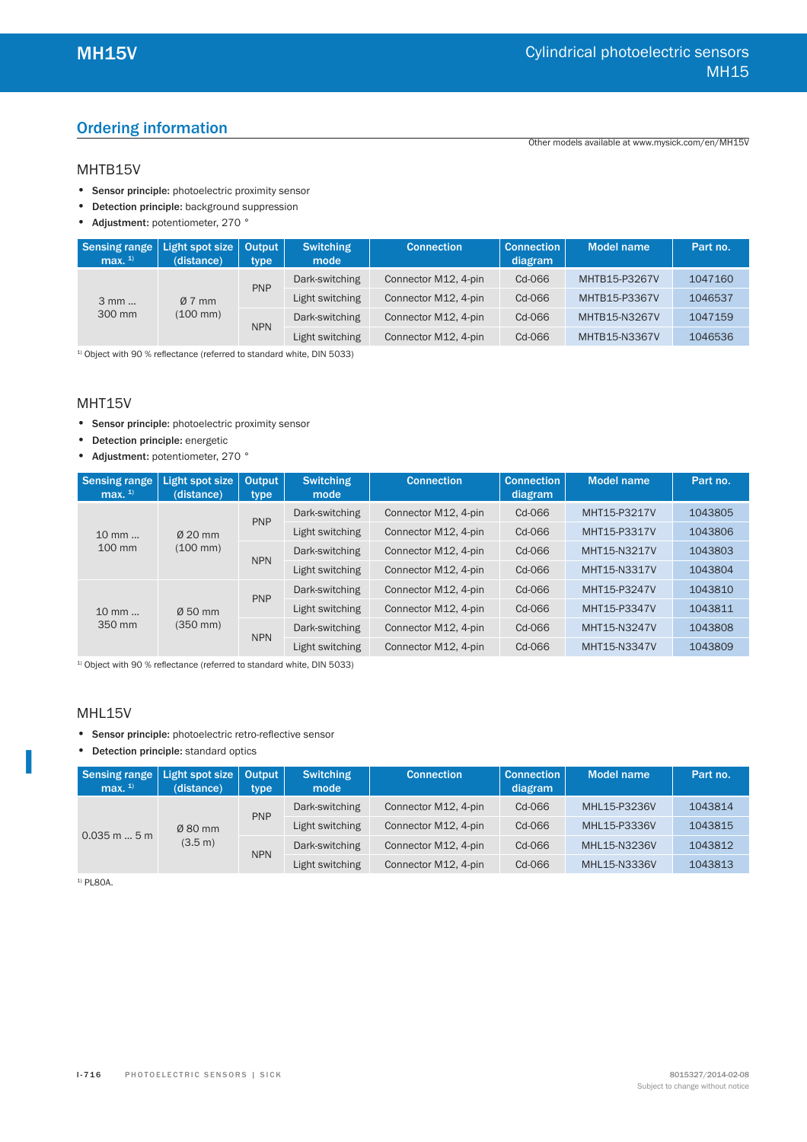# Ordering information

Other models available at www.mysick.com/en/MH15V

## MHTB15V

- Sensor principle: photoelectric proximity sensor
- Detection principle: background suppression
- Adjustment: potentiometer, 270 °

| Sensing range<br>max. $1$ | Light spot size<br>(distance) | Output<br>type | <b>Switching</b><br>mode | <b>Connection</b>    | <b>Connection</b><br>diagram | <b>Model name</b> | Part no. |
|---------------------------|-------------------------------|----------------|--------------------------|----------------------|------------------------------|-------------------|----------|
| 3 mm<br>300 mm            |                               | <b>PNP</b>     | Dark-switching           | Connector M12, 4-pin | $Cd-066$                     | MHTB15-P3267V     | 1047160  |
|                           | $\varnothing$ 7 mm            |                | Light switching          | Connector M12, 4-pin | Cd-066                       | MHTB15-P3367V     | 1046537  |
|                           | $(100 \, \text{mm})$          | <b>NPN</b>     | Dark-switching           | Connector M12, 4-pin | Cd-066                       | MHTB15-N3267V     | 1047159  |
|                           |                               |                | Light switching          | Connector M12, 4-pin | Cd-066                       | MHTB15-N3367V     | 1046536  |

 $1)$  Object with 90 % reflectance (referred to standard white, DIN 5033)

### MHT15V

- Sensor principle: photoelectric proximity sensor
- Detection principle: energetic
- Adjustment: potentiometer, 270 °

| <b>Sensing range</b><br>max. $1$ | Light spot size<br>(distance) | <b>Output</b><br>type | <b>Switching</b><br>mode | <b>Connection</b>    | <b>Connection</b><br>diagram | <b>Model name</b> | Part no.     |
|----------------------------------|-------------------------------|-----------------------|--------------------------|----------------------|------------------------------|-------------------|--------------|
|                                  |                               | <b>PNP</b>            | Dark-switching           | Connector M12, 4-pin | Cd-066                       | MHT15-P3217V      | 1043805      |
| $10 \text{ mm}$                  | $\varnothing$ 20 mm           |                       | Light switching          | Connector M12, 4-pin | $Cd-066$                     | MHT15-P3317V      | 1043806      |
| 100 mm<br>$(100 \, \text{mm})$   |                               |                       | Dark-switching           | Connector M12, 4-pin | $Cd-066$                     | MHT15-N3217V      | 1043803      |
|                                  |                               | <b>NPN</b>            | Light switching          | Connector M12, 4-pin | $Cd-066$                     | MHT15-N3317V      | 1043804      |
|                                  |                               |                       | Dark-switching           | Connector M12, 4-pin | $Cd-066$                     | MHT15-P3247V      | 1043810      |
| $10 \text{ mm}$<br>350 mm        | $\varnothing$ 50 mm           | <b>PNP</b>            | Light switching          | Connector M12, 4-pin | $Cd-066$                     | MHT15-P3347V      | 1043811      |
|                                  | $(350 \, \text{mm})$          |                       | Dark-switching           | Connector M12, 4-pin | $Cd-066$                     | MHT15-N3247V      | 1043808      |
|                                  |                               |                       | <b>NPN</b>               | Light switching      | Connector M12, 4-pin         | $Cd-066$          | MHT15-N3347V |

 $1)$  Object with 90 % reflectance (referred to standard white, DIN 5033)

### MHL15V

**I**

- Sensor principle: photoelectric retro-reflective sensor
- Detection principle: standard optics

| Sensing range<br>max. $1$ | Light spot size<br>(distance) | Output<br>type | <b>Switching</b><br>mode | <b>Connection</b>    | <b>Connection</b><br>diagram | <b>Model name</b> | Part no.     |         |
|---------------------------|-------------------------------|----------------|--------------------------|----------------------|------------------------------|-------------------|--------------|---------|
|                           |                               | <b>PNP</b>     | Dark-switching           | Connector M12, 4-pin | Cd-066                       | MHL15-P3236V      | 1043814      |         |
| $0.035$ m $$ 5 m          | $Ø$ 80 mm                     |                | Light switching          | Connector M12, 4-pin | Cd-066                       | MHL15-P3336V      | 1043815      |         |
|                           | (3.5 m)                       |                |                          | Dark-switching       | Connector M12, 4-pin         | Cd-066            | MHL15-N3236V | 1043812 |
|                           |                               | <b>NPN</b>     | Light switching          | Connector M12, 4-pin | Cd-066                       | MHL15-N3336V      | 1043813      |         |

 $1)$  PL80A.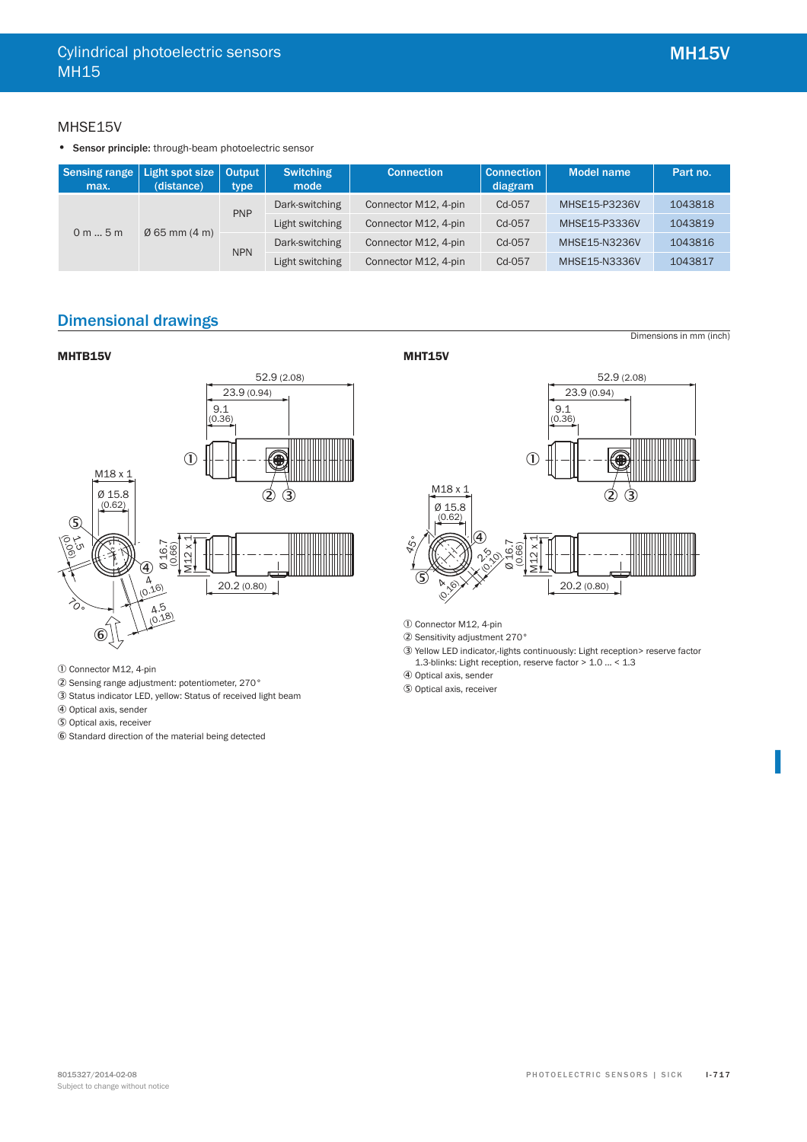Dimensions in mm (inch)

# MHSE15V

• Sensor principle: through-beam photoelectric sensor

| Sensing range   Light spot size   Output  <br>max. | (distance) | type       | <b>Switching</b><br>mode | <b>Connection</b>    | <b>Connection</b><br>diagram | <b>Model name</b> | Part no. |
|----------------------------------------------------|------------|------------|--------------------------|----------------------|------------------------------|-------------------|----------|
| $\varnothing$ 65 mm (4 m)<br>0 m 5 m               |            | <b>PNP</b> | Dark-switching           | Connector M12, 4-pin | Cd-057                       | MHSE15-P3236V     | 1043818  |
|                                                    |            |            | Light switching          | Connector M12, 4-pin | Cd-057                       | MHSE15-P3336V     | 1043819  |
|                                                    |            |            | Dark-switching           | Connector M12, 4-pin | Cd-057                       | MHSE15-N3236V     | 1043816  |
|                                                    |            | <b>NPN</b> | Light switching          | Connector M12, 4-pin | Cd-057                       | MHSE15-N3336V     | 1043817  |

# Dimensional drawings

### **MHTB15V**



- 1 Connector M12, 4-pin
- 2 Sensing range adjustment: potentiometer, 270°
- 3 Status indicator LED, yellow: Status of received light beam
- 4 Optical axis, sender
- 5 Optical axis, receiver
- 6 Standard direction of the material being detected

**MHT15V** 



- 1 Connector M12, 4-pin
- 2 Sensitivity adjustment 270°
- 3 Yellow LED indicator,-lights continuously: Light reception> reserve factor 1.3-blinks: Light reception, reserve factor > 1.0 ... < 1.3

4 Optical axis, sender

5 Optical axis, receiver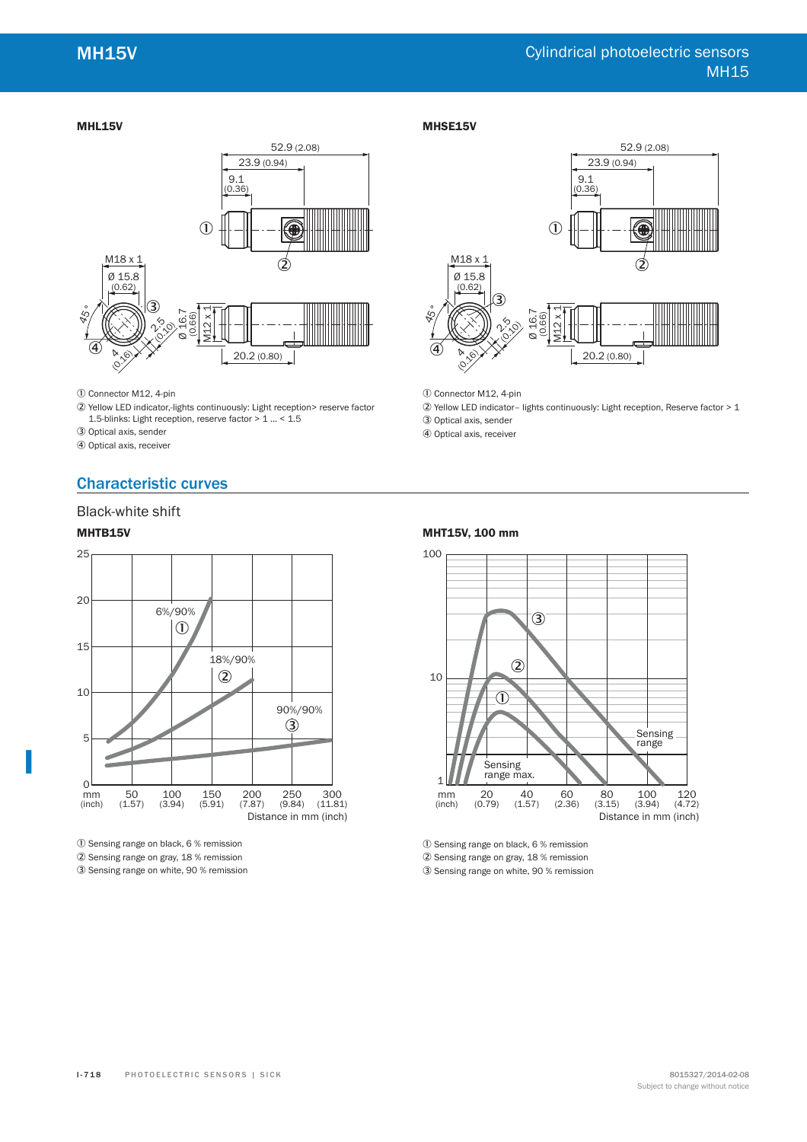#### **MHL15V**



- 1 Connector M12, 4-pin
- 2 Yellow LED indicator,-lights continuously: Light reception> reserve factor 1.5-blinks: Light reception, reserve factor > 1 ... < 1.5
- 3 Optical axis, sender
- 4 Optical axis, receiver

# Characteristic curves

## Black-white shift

### **MHTB15V**

**I**



1 Sensing range on black, 6 % remission 2 Sensing range on gray, 18 % remission 3 Sensing range on white, 90 % remission

#### **MHSE15V**



1 Connector M12, 4-pin

2 Yellow LED indicator– lights continuously: Light reception, Reserve factor > 1

3 Optical axis, sender

4 Optical axis, receiver





<sup>1</sup> Sensing range on black, 6 % remission

2 Sensing range on gray, 18 % remission

3 Sensing range on white, 90 % remission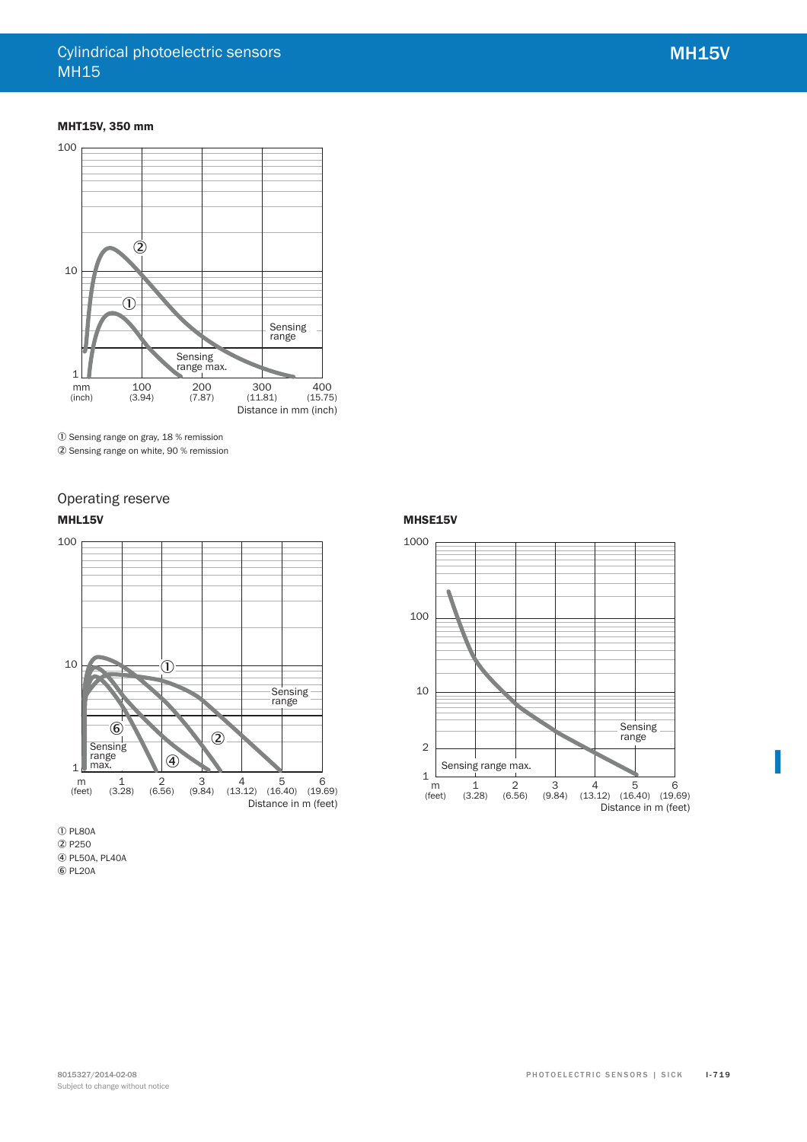### **MHT15V, 350 mm**



1 Sensing range on gray, 18 % remission

2 Sensing range on white, 90 % remission

# Operating reserve

### **MHL15V**



**1** PL80A 2 P250 4 PL50A, PL40A 6 PL20A

#### **MHSE15V**

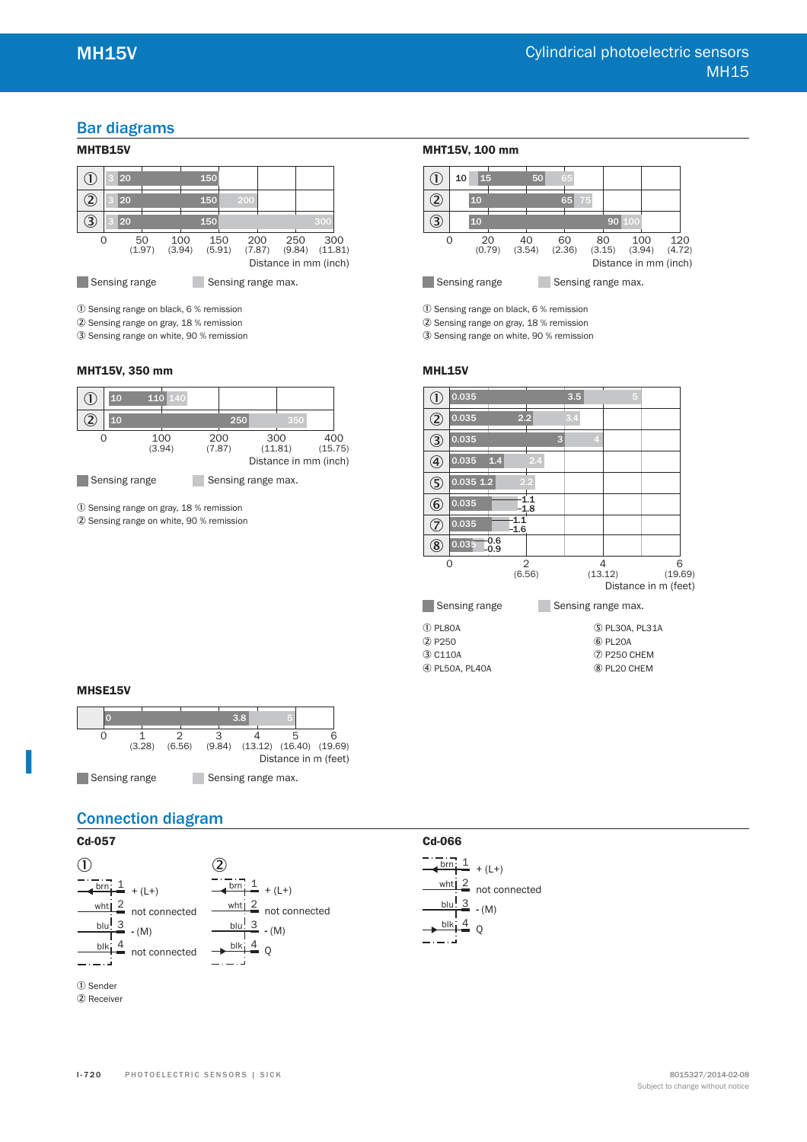# Bar diagrams

# **MHTB15V**



1 Sensing range on black, 6 % remission

2 Sensing range on gray, 18 % remission

3 Sensing range on white, 90 % remission

#### **MHT15V, 350 mm**



1 Sensing range on gray, 18 % remission

2 Sensing range on white, 90 % remission

#### **MHT15V, 100 mm**



1 Sensing range on black, 6 % remission

2 Sensing range on gray, 18 % remission

3 Sensing range on white, 90 % remission

#### **MHL15V**

| U                       | 0.035         |                         |               |               |   | 3.5 |   |                    | 5 |                      |              |
|-------------------------|---------------|-------------------------|---------------|---------------|---|-----|---|--------------------|---|----------------------|--------------|
| $\widehat{\mathcal{Z}}$ | 0.035         |                         | 2.2           |               |   | 3.4 |   |                    |   |                      |              |
| 3                       | 0.035         |                         |               |               | 3 |     | 4 |                    |   |                      |              |
| ⊕                       | 0.035         | 1.4                     |               | 2.4           |   |     |   |                    |   |                      |              |
| $\circledS$             | $0.035$ 1.2   |                         |               | 2.2           |   |     |   |                    |   |                      |              |
| $\circledast$           | 0.035         |                         |               | 1.1<br>$-1.8$ |   |     |   |                    |   |                      |              |
| T                       | 0.035         |                         | 1.1<br>$-1.6$ |               |   |     |   |                    |   |                      |              |
| $\circledS$             | 0.035         | $\substack{0.6 \\ 0.9}$ |               |               |   |     |   |                    |   |                      |              |
|                         | O             |                         |               | 2<br>(6.56)   |   |     |   | 4<br>(13.12)       |   | Distance in m (feet) | 6<br>(19.69) |
|                         | Sensing range |                         |               |               |   |     |   | Sensing range max. |   |                      |              |

1 PL80A 2 P250 3 C110A 4 PL50A, PL40A

**Cd-066**

 $\frac{\text{brn} \cdot 1}{\text{t}}$  + (L+)

blu! 3

 $\frac{\text{wht}}{2}$  not connected **-** (M)

 $\overline{O}$  $b$ lk $\frac{4}{3}$ 

 PL30A, PL31A 6 PL20A P250 CHEM PL20 CHEM

#### **MHSE15V**

**I**



# Connection diagram





1 Sender 2 Receiver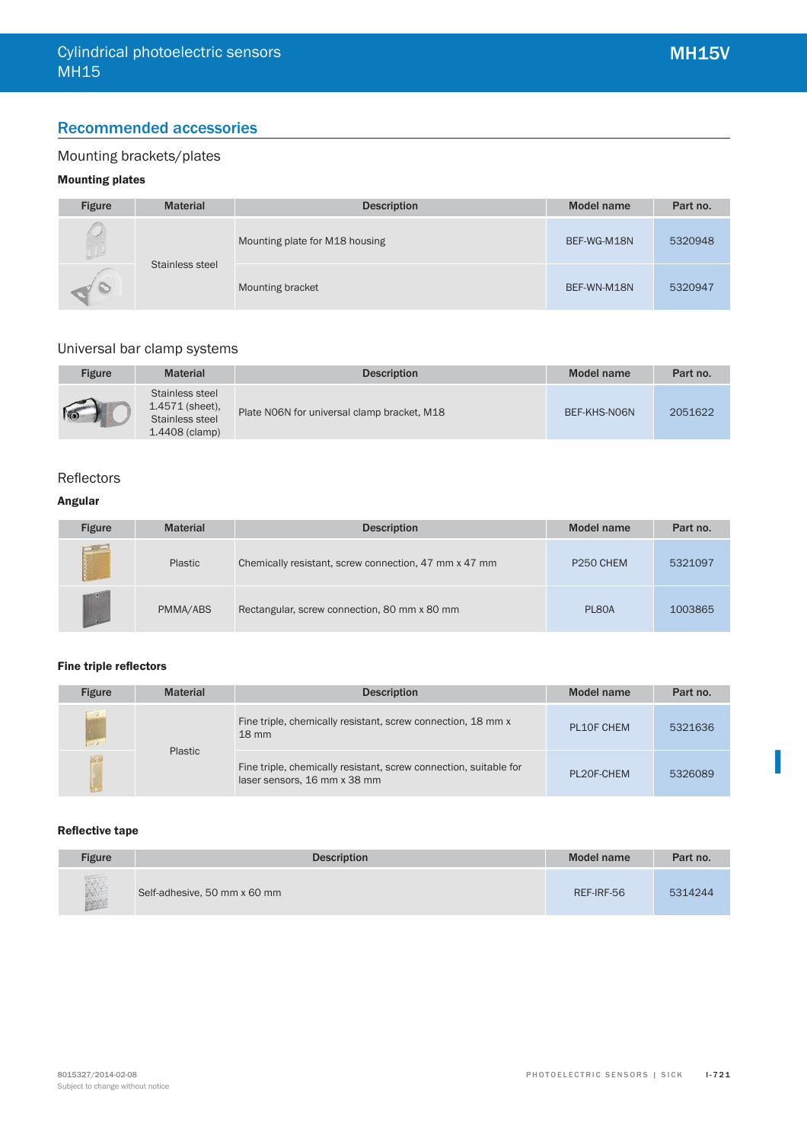# Recommended accessories

# Mounting brackets/plates

# **Mounting plates**

| <b>Figure</b> | <b>Material</b> | <b>Description</b>             | <b>Model name</b> | Part no. |
|---------------|-----------------|--------------------------------|-------------------|----------|
| $0 \perp$     | Stainless steel | Mounting plate for M18 housing | BEF-WG-M18N       | 5320948  |
| 10            |                 | Mounting bracket               | BEF-WN-M18N       | 5320947  |

# Universal bar clamp systems

| Figure | <b>Material</b>                                                             | <b>Description</b>                          | Model name   | Part no. |
|--------|-----------------------------------------------------------------------------|---------------------------------------------|--------------|----------|
| IO     | Stainless steel<br>$1.4571$ (sheet),<br>Stainless steel<br>$1.4408$ (clamp) | Plate NO6N for universal clamp bracket, M18 | BEF-KHS-N06N | 2051622  |

# Reflectors

# **Angular**

| <b>Figure</b>        | <b>Material</b> | <b>Description</b>                                    | Model name            | Part no. |
|----------------------|-----------------|-------------------------------------------------------|-----------------------|----------|
|                      | Plastic         | Chemically resistant, screw connection, 47 mm x 47 mm | P <sub>250</sub> CHEM | 5321097  |
| <b>All Contracts</b> | PMMA/ABS        | Rectangular, screw connection, 80 mm x 80 mm          | PL80A                 | 1003865  |

#### **Fine triple reflectors**

| <b>Figure</b> | <b>Material</b> | <b>Description</b>                                                                                | <b>Model name</b> | Part no. |
|---------------|-----------------|---------------------------------------------------------------------------------------------------|-------------------|----------|
| <b>CONST</b>  |                 | Fine triple, chemically resistant, screw connection, 18 mm x<br>$18 \text{ mm}$                   | PL10F CHEM        | 5321636  |
|               | Plastic         | Fine triple, chemically resistant, screw connection, suitable for<br>laser sensors, 16 mm x 38 mm | PL20F-CHEM        | 5326089  |

#### **Reflective tape**

| <b>Figure</b> | <b>Description</b>           | Model name | Part no. |
|---------------|------------------------------|------------|----------|
|               | Self-adhesive, 50 mm x 60 mm | REF-IRF-56 | 5314244  |